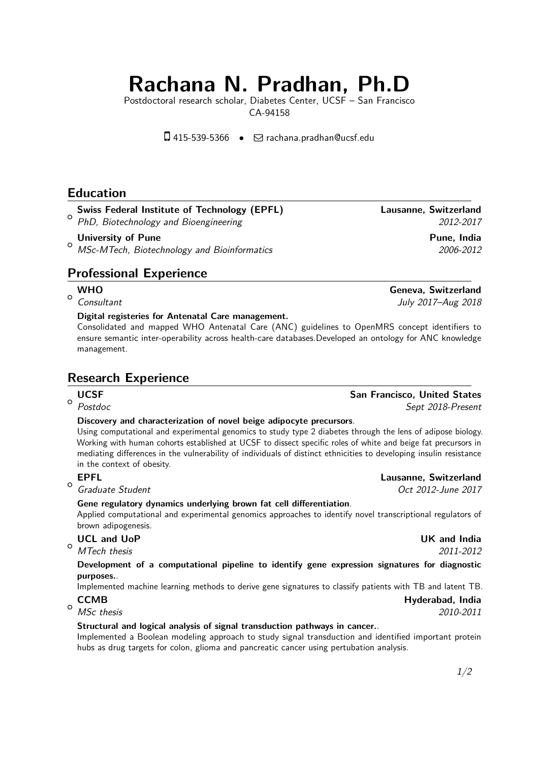# **Rachana N. Pradhan, Ph.D**

Postdoctoral research scholar, Diabetes Center, UCSF – San Francisco CA-94158

 $\square$  415-539-5366 •  $\square$  [rachana.pradhan@ucsf.edu](mailto:rachana.pradhan@ucsf.edu)

# **Education**

# **Swiss Federal Institute of Technology (EPFL) Lausanne, Switzerland**

 $\circ$ PhD, Biotechnology and Bioengineering 2012-2017

 $\circ$ **University of Pune Pune Pune Pune Pune Pune Pune**, India MSc-MTech, Biotechnology and Bioinformatics 2006-2012

# **Professional Experience**

### **WHO Geneva, Switzerland**

 $\circ$ Consultant July 2017–Aug 2018

#### **Digital registeries for Antenatal Care management.**

Consolidated and mapped WHO Antenatal Care (ANC) guidelines to OpenMRS concept identifiers to ensure semantic inter-operability across health-care databases.Developed an ontology for ANC knowledge management.

# **Research Experience**

# $\circ$

#### **Discovery and characterization of novel beige adipocyte precursors**.

Using computational and experimental genomics to study type 2 diabetes through the lens of adipose biology. Working with human cohorts established at UCSF to dissect specific roles of white and beige fat precursors in mediating differences in the vulnerability of individuals of distinct ethnicities to developing insulin resistance in the context of obesity.

# $\Omega$

### **Gene regulatory dynamics underlying brown fat cell differentiation**.

Applied computational and experimental genomics approaches to identify novel transcriptional regulators of brown adipogenesis.

## $\circ$

MTech thesis 2011-2012

#### **Development of a computational pipeline to identify gene expression signatures for diagnostic purposes.**.

Implemented machine learning methods to derive gene signatures to classify patients with TB and latent TB. **CCMB Hyderabad, India**

 $\circ$ MSc thesis 2010-2011

#### **Structural and logical analysis of signal transduction pathways in cancer.**.

Implemented a Boolean modeling approach to study signal transduction and identified important protein hubs as drug targets for colon, glioma and pancreatic cancer using pertubation analysis.

# **UCSF** San Francisco, United States Postdoc Sept 2018-Present

#### **EPFL Lausanne, Switzerland**

Graduate Student Communications of the Communication of the Contractor Contractor Oct 2012-June 2017

**UCL and UoP UK and India**

1[/2](#page-1-0)